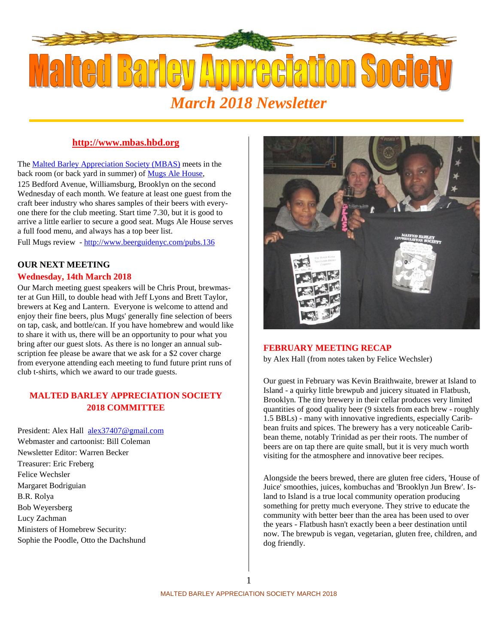

#### **http://www.mbas.hbd.org**

The Malted Barley Appreciation Society (MBAS) meets in the back room (or back yard in summer) of Mugs Ale House,

125 Bedford Avenue, Williamsburg, Brooklyn on the second Wednesday of each month. We feature at least one guest from the craft beer industry who shares samples of their beers with everyone there for the club meeting. Start time 7.30, but it is good to arrive a little earlier to secure a good seat. Mugs Ale House serves a full food menu, and always has a top beer list.

Full Mugs review - http://www.beerguidenyc.com/pubs.136

#### **OUR NEXT MEETING**

#### **Wednesday, 14th March 2018**

Our March meeting guest speakers will be Chris Prout, brewmaster at Gun Hill, to double head with Jeff Lyons and Brett Taylor, brewers at Keg and Lantern. Everyone is welcome to attend and enjoy their fine beers, plus Mugs' generally fine selection of beers on tap, cask, and bottle/can. If you have homebrew and would like to share it with us, there will be an opportunity to pour what you bring after our guest slots. As there is no longer an annual subscription fee please be aware that we ask for a \$2 cover charge from everyone attending each meeting to fund future print runs of club t-shirts, which we award to our trade guests.

### **MALTED BARLEY APPRECIATION SOCIETY 2018 COMMITTEE**

President: Alex Hall alex37407@gmail.com Webmaster and cartoonist: Bill Coleman Newsletter Editor: Warren Becker Treasurer: Eric Freberg Felice Wechsler Margaret Bodriguian B.R. Rolya Bob Weyersberg Lucy Zachman Ministers of Homebrew Security: Sophie the Poodle, Otto the Dachshund



#### **FEBRUARY MEETING RECAP**

by Alex Hall (from notes taken by Felice Wechsler)

Our guest in February was Kevin Braithwaite, brewer at Island to Island - a quirky little brewpub and juicery situated in Flatbush, Brooklyn. The tiny brewery in their cellar produces very limited quantities of good quality beer (9 sixtels from each brew - roughly 1.5 BBLs) - many with innovative ingredients, especially Caribbean fruits and spices. The brewery has a very noticeable Caribbean theme, notably Trinidad as per their roots. The number of beers are on tap there are quite small, but it is very much worth visiting for the atmosphere and innovative beer recipes.

Alongside the beers brewed, there are gluten free ciders, 'House of Juice' smoothies, juices, kombuchas and 'Brooklyn Jun Brew'. Island to Island is a true local community operation producing something for pretty much everyone. They strive to educate the community with better beer than the area has been used to over the years - Flatbush hasn't exactly been a beer destination until now. The brewpub is vegan, vegetarian, gluten free, children, and dog friendly.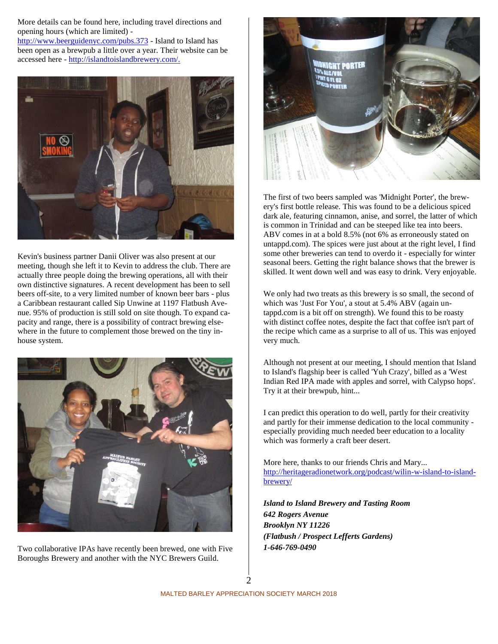More details can be found here, including travel directions and opening hours (which are limited) -

http://www.beerguidenyc.com/pubs.373 - Island to Island has been open as a brewpub a little over a year. Their website can be accessed here - http://islandtoislandbrewery.com/.



Kevin's business partner Danii Oliver was also present at our meeting, though she left it to Kevin to address the club. There are actually three people doing the brewing operations, all with their own distinctive signatures. A recent development has been to sell beers off-site, to a very limited number of known beer bars - plus a Caribbean restaurant called Sip Unwine at 1197 Flatbush Avenue. 95% of production is still sold on site though. To expand capacity and range, there is a possibility of contract brewing elsewhere in the future to complement those brewed on the tiny in house system.



Two collaborative IPAs have recently been brewed, one with Five Boroughs Brewery and another with the NYC Brewers Guild.



The first of two beers sampled was 'Midnight Porter', the brewery's first bottle release. This was found to be a delicious spiced dark ale, featuring cinnamon, anise, and sorrel, the latter of which is common in Trinidad and can be steeped like tea into beers. ABV comes in at a bold 8.5% (not 6% as erroneously stated on untappd.com). The spices were just about at the right level, I find some other breweries can tend to overdo it - especially for winter seasonal beers. Getting the right balance shows that the brewer is skilled. It went down well and was easy to drink. Very enjoyable.

We only had two treats as this brewery is so small, the second of which was 'Just For You', a stout at 5.4% ABV (again untappd.com is a bit off on strength). We found this to be roasty with distinct coffee notes, despite the fact that coffee isn't part of the recipe which came as a surprise to all of us. This was enjoyed very much.

Although not present at our meeting, I should mention that Island to Island's flagship beer is called 'Yuh Crazy', billed as a 'West Indian Red IPA made with apples and sorrel, with Calypso hops'. Try it at their brewpub, hint...

I can predict this operation to do well, partly for their creativity and partly for their immense dedication to the local community especially providing much needed beer education to a locality which was formerly a craft beer desert.

More here, thanks to our friends Chris and Mary... http://heritageradionetwork.org/podcast/wilin-w-island-to-island brewery/

*Island to Island Brewery and Tasting Room 642 Rogers Avenue Brooklyn NY 11226 (Flatbush / Prospect Lefferts Gardens) 1-646-769-0490*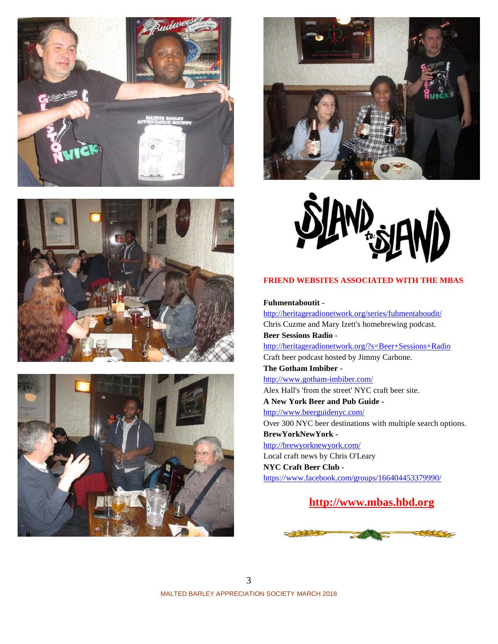









#### **FRIEND WEBSITES ASSOCIATED WITH THE MBAS**

**Fuhmentaboutit -**

http://heritageradionetwork.org/series/fuhmentaboudit/ Chris Cuzme and Mary Izett's homebrewing podcast. **Beer Sessions Radio**  http://heritageradionetwork.org/?s=Beer+Sessions+Radio Craft beer podcast hosted by Jimmy Carbone. **The Gotham Imbiber**  http://www.gotham-imbiber.com/ Alex Hall's 'from the street' NYC craft beer site. **A New York Beer and Pub Guide**  http://www.beerguidenyc.com/ Over 300 NYC beer destinations with multiple search options. **BrewYorkNewYork**  http://brewyorknewyork.com/ Local craft news by Chris O'Leary **NYC Craft Beer Club**  https://www.facebook.com/groups/166404453379990/

## **http://www.mbas.hbd.org**